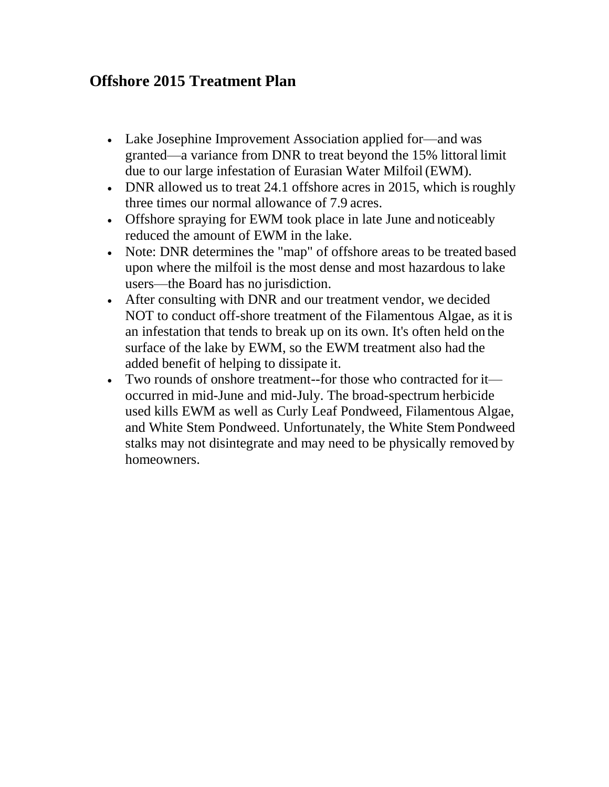## **Offshore 2015 Treatment Plan**

- Lake Josephine Improvement Association applied for—and was granted—a variance from DNR to treat beyond the 15% littoral limit due to our large infestation of Eurasian Water Milfoil (EWM).
- DNR allowed us to treat 24.1 offshore acres in 2015, which is roughly three times our normal allowance of 7.9 acres.
- Offshore spraying for EWM took place in late June and noticeably reduced the amount of EWM in the lake.
- Note: DNR determines the "map" of offshore areas to be treated based upon where the milfoil is the most dense and most hazardous to lake users—the Board has no jurisdiction.
- After consulting with DNR and our treatment vendor, we decided NOT to conduct off-shore treatment of the Filamentous Algae, as it is an infestation that tends to break up on its own. It's often held on the surface of the lake by EWM, so the EWM treatment also had the added benefit of helping to dissipate it.
- Two rounds of onshore treatment--for those who contracted for it occurred in mid-June and mid-July. The broad-spectrum herbicide used kills EWM as well as Curly Leaf Pondweed, Filamentous Algae, and White Stem Pondweed. Unfortunately, the White StemPondweed stalks may not disintegrate and may need to be physically removed by homeowners.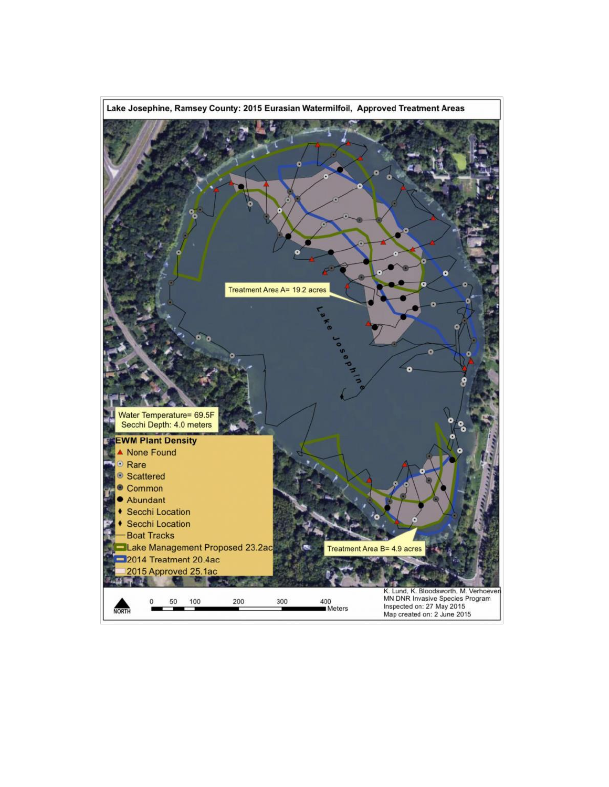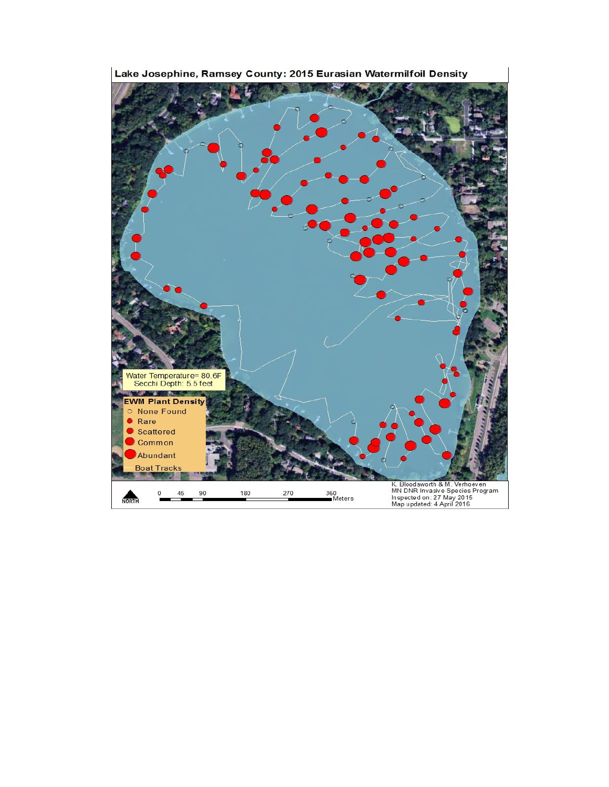